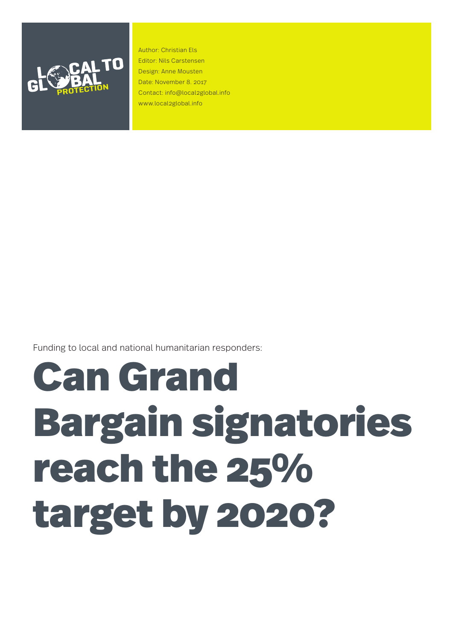

Author: Christian Els Editor: Nils Carstensen Design: Anne Mousten Date: November 8. 2017 Contact: info@local2global.info www.local2global.info

Funding to local and national humanitarian responders:

# Can Grand Bargain signatories reach the 25% target by 2020?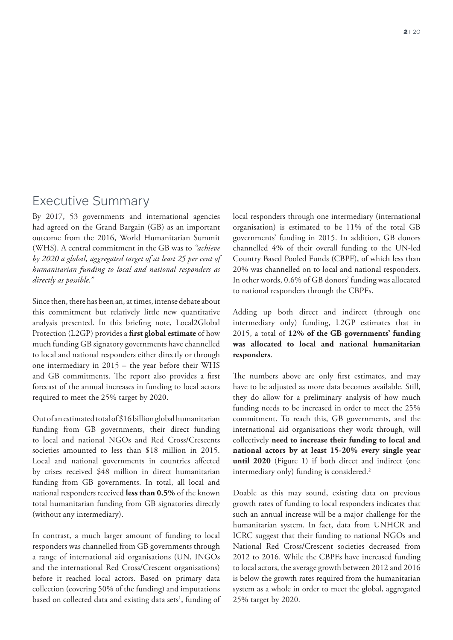# Executive Summary

By 2017, 53 governments and international agencies had agreed on the Grand Bargain (GB) as an important outcome from the 2016, World Humanitarian Summit (WHS). A central commitment in the GB was to *"achieve by 2020 a global, aggregated target of at least 25 per cent of humanitarian funding to local and national responders as directly as possible."* 

Since then, there has been an, at times, intense debate about this commitment but relatively little new quantitative analysis presented. In this briefing note, Local2Global Protection (L2GP) provides a **first global estimate** of how much funding GB signatory governments have channelled to local and national responders either directly or through one intermediary in 2015 – the year before their WHS and GB commitments. The report also provides a first forecast of the annual increases in funding to local actors required to meet the 25% target by 2020.

Out of an estimated total of \$16 billion global humanitarian funding from GB governments, their direct funding to local and national NGOs and Red Cross/Crescents societies amounted to less than \$18 million in 2015. Local and national governments in countries affected by crises received \$48 million in direct humanitarian funding from GB governments. In total, all local and national responders received **less than 0.5%** of the known total humanitarian funding from GB signatories directly (without any intermediary).

In contrast, a much larger amount of funding to local responders was channelled from GB governments through a range of international aid organisations (UN, INGOs and the international Red Cross/Crescent organisations) before it reached local actors. Based on primary data collection (covering 50% of the funding) and imputations based on collected data and existing data sets<sup>1</sup>, funding of local responders through one intermediary (international organisation) is estimated to be 11% of the total GB governments' funding in 2015. In addition, GB donors channelled 4% of their overall funding to the UN-led Country Based Pooled Funds (CBPF), of which less than 20% was channelled on to local and national responders. In other words, 0.6% of GB donors' funding was allocated to national responders through the CBPFs.

Adding up both direct and indirect (through one intermediary only) funding, L2GP estimates that in 2015, a total of **12% of the GB governments' funding was allocated to local and national humanitarian responders**.

The numbers above are only first estimates, and may have to be adjusted as more data becomes available. Still, they do allow for a preliminary analysis of how much funding needs to be increased in order to meet the 25% commitment. To reach this, GB governments, and the international aid organisations they work through, will collectively **need to increase their funding to local and national actors by at least 15-20% every single year until 2020** (Figure 1) if both direct and indirect (one intermediary only) funding is considered.<sup>2</sup>

Doable as this may sound, existing data on previous growth rates of funding to local responders indicates that such an annual increase will be a major challenge for the humanitarian system. In fact, data from UNHCR and ICRC suggest that their funding to national NGOs and National Red Cross/Crescent societies decreased from 2012 to 2016. While the CBPFs have increased funding to local actors, the average growth between 2012 and 2016 is below the growth rates required from the humanitarian system as a whole in order to meet the global, aggregated 25% target by 2020.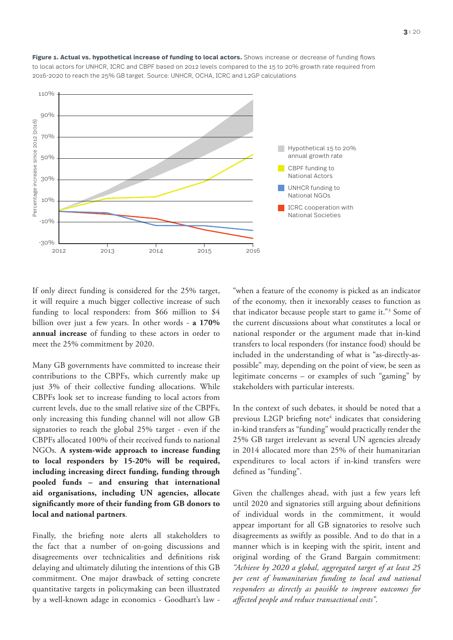

Figure 1. Actual vs. hypothetical increase of funding to local actors. Shows increase or decrease of funding flows to local actors for UNHCR, ICRC and CBPF based on 2012 levels compared to the 15 to 20% growth rate required from 2016-2020 to reach the 25% GB target. Source: UNHCR, OCHA, ICRC and L2GP calculations

If only direct funding is considered for the 25% target, it will require a much bigger collective increase of such funding to local responders: from \$66 million to \$4 billion over just a few years. In other words - **a 170% annual increase** of funding to these actors in order to meet the 25% commitment by 2020.

Many GB governments have committed to increase their contributions to the CBPFs, which currently make up just 3% of their collective funding allocations. While CBPFs look set to increase funding to local actors from current levels, due to the small relative size of the CBPFs, only increasing this funding channel will not allow GB signatories to reach the global 25% target - even if the CBPFs allocated 100% of their received funds to national NGOs. **A system-wide approach to increase funding to local responders by 15-20% will be required, including increasing direct funding, funding through pooled funds – and ensuring that international aid organisations, including UN agencies, allocate significantly more of their funding from GB donors to local and national partners**.

Finally, the briefing note alerts all stakeholders to the fact that a number of on-going discussions and disagreements over technicalities and definitions risk delaying and ultimately diluting the intentions of this GB commitment. One major drawback of setting concrete quantitative targets in policymaking can been illustrated by a well-known adage in economics - Goodhart's law -

"when a feature of the economy is picked as an indicator of the economy, then it inexorably ceases to function as that indicator because people start to game it."3 Some of the current discussions about what constitutes a local or national responder or the argument made that in-kind transfers to local responders (for instance food) should be included in the understanding of what is "as-directly-aspossible" may, depending on the point of view, be seen as legitimate concerns – or examples of such "gaming" by stakeholders with particular interests.

In the context of such debates, it should be noted that a previous L2GP briefing note<sup>4</sup> indicates that considering in-kind transfers as "funding" would practically render the 25% GB target irrelevant as several UN agencies already in 2014 allocated more than 25% of their humanitarian expenditures to local actors if in-kind transfers were defined as "funding".

Given the challenges ahead, with just a few years left until 2020 and signatories still arguing about definitions of individual words in the commitment, it would appear important for all GB signatories to resolve such disagreements as swiftly as possible. And to do that in a manner which is in keeping with the spirit, intent and original wording of the Grand Bargain commitment: *"Achieve by 2020 a global, aggregated target of at least 25 per cent of humanitarian funding to local and national responders as directly as possible to improve outcomes for affected people and reduce transactional costs"*.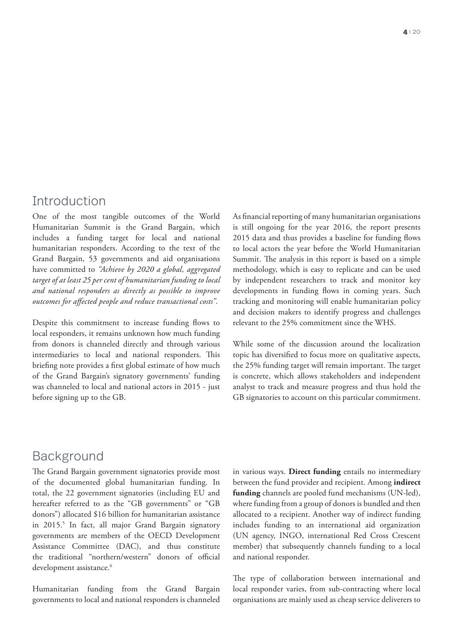# Introduction

One of the most tangible outcomes of the World Humanitarian Summit is the Grand Bargain, which includes a funding target for local and national humanitarian responders. According to the text of the Grand Bargain, 53 governments and aid organisations have committed to *"Achieve by 2020 a global, aggregated target of at least 25 per cent of humanitarian funding to local and national responders as directly as possible to improve outcomes for affected people and reduce transactional costs"*.

Despite this commitment to increase funding flows to local responders, it remains unknown how much funding from donors is channeled directly and through various intermediaries to local and national responders. This briefing note provides a first global estimate of how much of the Grand Bargain's signatory governments' funding was channeled to local and national actors in 2015 - just before signing up to the GB.

As financial reporting of many humanitarian organisations is still ongoing for the year 2016, the report presents 2015 data and thus provides a baseline for funding flows to local actors the year before the World Humanitarian Summit. The analysis in this report is based on a simple methodology, which is easy to replicate and can be used by independent researchers to track and monitor key developments in funding flows in coming years. Such tracking and monitoring will enable humanitarian policy and decision makers to identify progress and challenges relevant to the 25% commitment since the WHS.

While some of the discussion around the localization topic has diversified to focus more on qualitative aspects, the 25% funding target will remain important. The target is concrete, which allows stakeholders and independent analyst to track and measure progress and thus hold the GB signatories to account on this particular commitment.

# Background

The Grand Bargain government signatories provide most of the documented global humanitarian funding. In total, the 22 government signatories (including EU and hereafter referred to as the "GB governments" or "GB donors") allocated \$16 billion for humanitarian assistance in 2015.5 In fact, all major Grand Bargain signatory governments are members of the OECD Development Assistance Committee (DAC), and thus constitute the traditional "northern/western" donors of official development assistance.<sup>6</sup>

Humanitarian funding from the Grand Bargain governments to local and national responders is channeled in various ways. **Direct funding** entails no intermediary between the fund provider and recipient. Among **indirect funding** channels are pooled fund mechanisms (UN-led), where funding from a group of donors is bundled and then allocated to a recipient. Another way of indirect funding includes funding to an international aid organization (UN agency, INGO, international Red Cross Crescent member) that subsequently channels funding to a local and national responder.

The type of collaboration between international and local responder varies, from sub-contracting where local organisations are mainly used as cheap service deliverers to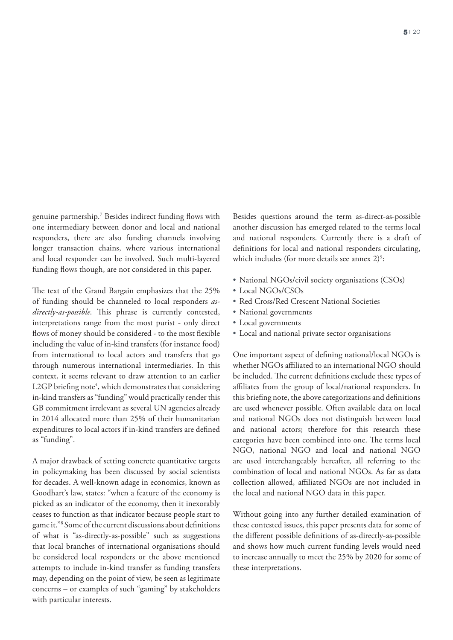genuine partnership.7 Besides indirect funding flows with one intermediary between donor and local and national responders, there are also funding channels involving longer transaction chains, where various international and local responder can be involved. Such multi-layered funding flows though, are not considered in this paper.

The text of the Grand Bargain emphasizes that the 25% of funding should be channeled to local responders *asdirectly-as-possible*. This phrase is currently contested, interpretations range from the most purist - only direct flows of money should be considered - to the most flexible including the value of in-kind transfers (for instance food) from international to local actors and transfers that go through numerous international intermediaries. In this context, it seems relevant to draw attention to an earlier L2GP briefing note<sup>4</sup>, which demonstrates that considering in-kind transfers as "funding" would practically render this GB commitment irrelevant as several UN agencies already in 2014 allocated more than 25% of their humanitarian expenditures to local actors if in-kind transfers are defined as "funding".

A major drawback of setting concrete quantitative targets in policymaking has been discussed by social scientists for decades. A well-known adage in economics, known as Goodhart's law, states: "when a feature of the economy is picked as an indicator of the economy, then it inexorably ceases to function as that indicator because people start to game it."8 Some of the current discussions about definitions of what is "as-directly-as-possible" such as suggestions that local branches of international organisations should be considered local responders or the above mentioned attempts to include in-kind transfer as funding transfers may, depending on the point of view, be seen as legitimate concerns – or examples of such "gaming" by stakeholders with particular interests.

Besides questions around the term as-direct-as-possible another discussion has emerged related to the terms local and national responders. Currently there is a draft of definitions for local and national responders circulating, which includes (for more details see annex  $2$ )<sup>9</sup>:

- National NGOs/civil society organisations (CSOs)
- Local NGOs/CSOs
- Red Cross/Red Crescent National Societies
- National governments
- Local governments
- Local and national private sector organisations

One important aspect of defining national/local NGOs is whether NGOs affiliated to an international NGO should be included. The current definitions exclude these types of affiliates from the group of local/national responders. In this briefing note, the above categorizations and definitions are used whenever possible. Often available data on local and national NGOs does not distinguish between local and national actors; therefore for this research these categories have been combined into one. The terms local NGO, national NGO and local and national NGO are used interchangeably hereafter, all referring to the combination of local and national NGOs. As far as data collection allowed, affiliated NGOs are not included in the local and national NGO data in this paper.

Without going into any further detailed examination of these contested issues, this paper presents data for some of the different possible definitions of as-directly-as-possible and shows how much current funding levels would need to increase annually to meet the 25% by 2020 for some of these interpretations.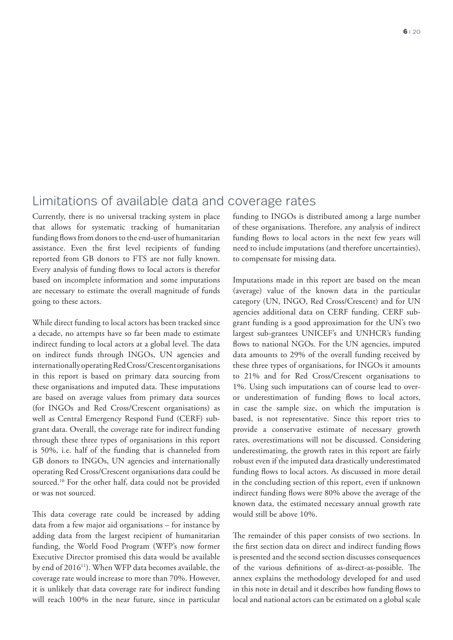# Limitations of available data and coverage rates

Currently, there is no universal tracking system in place that allows for systematic tracking of humanitarian funding flows from donors to the end-user of humanitarian assistance. Even the first level recipients of funding reported from GB donors to FTS are not fully known. Every analysis of funding flows to local actors is therefor based on incomplete information and some imputations are necessary to estimate the overall magnitude of funds going to these actors.

While direct funding to local actors has been tracked since a decade, no attempts have so far been made to estimate indirect funding to local actors at a global level. The data on indirect funds through INGOs, UN agencies and internationally operating Red Cross/Crescent organisations in this report is based on primary data sourcing from these organisations and imputed data. These imputations are based on average values from primary data sources (for INGOs and Red Cross/Crescent organisations) as well as Central Emergency Respond Fund (CERF) subgrant data. Overall, the coverage rate for indirect funding through these three types of organisations in this report is 50%, i.e. half of the funding that is channeled from GB donors to INGOs, UN agencies and internationally operating Red Cross/Crescent organisations data could be sourced.10 For the other half, data could not be provided or was not sourced.

This data coverage rate could be increased by adding data from a few major aid organisations – for instance by adding data from the largest recipient of humanitarian funding, the World Food Program (WFP's now former Executive Director promised this data would be available by end of 2016<sup>11</sup>). When WFP data becomes available, the coverage rate would increase to more than 70%. However, it is unlikely that data coverage rate for indirect funding will reach 100% in the near future, since in particular

funding to INGOs is distributed among a large number of these organisations. Therefore, any analysis of indirect funding flows to local actors in the next few years will need to include imputations (and therefore uncertainties), to compensate for missing data.

Imputations made in this report are based on the mean (average) value of the known data in the particular category (UN, INGO, Red Cross/Crescent) and for UN agencies additional data on CERF funding. CERF subgrant funding is a good approximation for the UN's two largest sub-grantees UNICEF's and UNHCR's funding flows to national NGOs. For the UN agencies, imputed data amounts to 29% of the overall funding received by these three types of organisations, for INGOs it amounts to 21% and for Red Cross/Crescent organisations to 1%. Using such imputations can of course lead to overor underestimation of funding flows to local actors, in case the sample size, on which the imputation is based, is not representative. Since this report tries to provide a conservative estimate of necessary growth rates, overestimations will not be discussed. Considering underestimating, the growth rates in this report are fairly robust even if the imputed data drastically underestimated funding flows to local actors. As discussed in more detail in the concluding section of this report, even if unknown indirect funding flows were 80% above the average of the known data, the estimated necessary annual growth rate would still be above 10%.

The remainder of this paper consists of two sections. In the first section data on direct and indirect funding flows is presented and the second section discusses consequences of the various definitions of as-direct-as-possible. The annex explains the methodology developed for and used in this note in detail and it describes how funding flows to local and national actors can be estimated on a global scale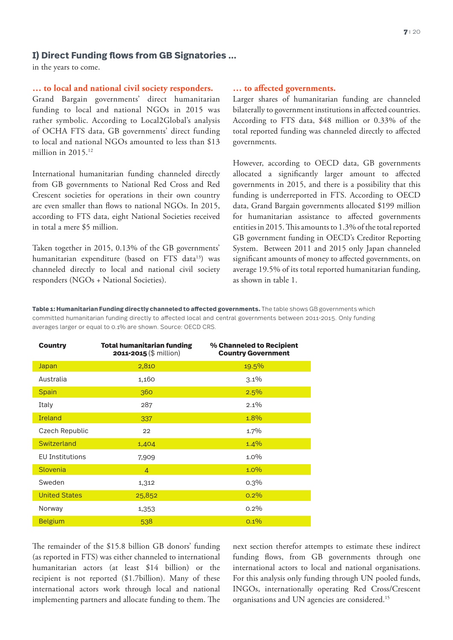## **I) Direct Funding flows from GB Signatories …**

in the years to come.

#### **… to local and national civil society responders.**

Grand Bargain governments' direct humanitarian funding to local and national NGOs in 2015 was rather symbolic. According to Local2Global's analysis of OCHA FTS data, GB governments' direct funding to local and national NGOs amounted to less than \$13 million in  $2015.<sup>12</sup>$ 

International humanitarian funding channeled directly from GB governments to National Red Cross and Red Crescent societies for operations in their own country are even smaller than flows to national NGOs. In 2015, according to FTS data, eight National Societies received in total a mere \$5 million.

Taken together in 2015, 0.13% of the GB governments' humanitarian expenditure (based on FTS data<sup>13</sup>) was channeled directly to local and national civil society responders (NGOs + National Societies).

#### **… to affected governments.**

Larger shares of humanitarian funding are channeled bilaterally to government institutions in affected countries. According to FTS data, \$48 million or 0.33% of the total reported funding was channeled directly to affected governments.

However, according to OECD data, GB governments allocated a significantly larger amount to affected governments in 2015, and there is a possibility that this funding is underreported in FTS. According to OECD data, Grand Bargain governments allocated \$199 million for humanitarian assistance to affected governments entities in 2015. This amounts to 1.3% of the total reported GB government funding in OECD's Creditor Reporting System. Between 2011 and 2015 only Japan channeled significant amounts of money to affected governments, on average 19.5% of its total reported humanitarian funding, as shown in table 1.

**Table 1: Humanitarian Funding directly channeled to affected governments.** The table shows GB governments which committed humanitarian funding directly to affected local and central governments between 2011-2015. Only funding averages larger or equal to 0.1% are shown. Source: OECD CRS.

| <b>Country</b>         | <b>Total humanitarian funding</b><br>2011-2015 (\$ million) | % Channeled to Recipient<br><b>Country Government</b> |
|------------------------|-------------------------------------------------------------|-------------------------------------------------------|
| Japan                  | 2,810                                                       | 19.5%                                                 |
| Australia              | 1,160                                                       | $3.1\%$                                               |
| <b>Spain</b>           | 360                                                         | 2.5%                                                  |
| Italy                  | 287                                                         | $2.1\%$                                               |
| <b>Ireland</b>         | 337                                                         | 1.8%                                                  |
| Czech Republic         | 22                                                          | 1.7%                                                  |
| Switzerland            | 1,404                                                       | $1.4\%$                                               |
| <b>EU Institutions</b> | 7,909                                                       | $1.0\%$                                               |
| Slovenia               | $\overline{4}$                                              | $1.0\%$                                               |
| Sweden                 | 1,312                                                       | $0.3\%$                                               |
| <b>United States</b>   | 25,852                                                      | 0.2%                                                  |
| Norway                 | 1,353                                                       | $0.2\%$                                               |
| <b>Belgium</b>         | 538                                                         | $0.1\%$                                               |

The remainder of the \$15.8 billion GB donors' funding (as reported in FTS) was either channeled to international humanitarian actors (at least \$14 billion) or the recipient is not reported (\$1.7billion). Many of these international actors work through local and national implementing partners and allocate funding to them. The

next section therefor attempts to estimate these indirect funding flows, from GB governments through one international actors to local and national organisations. For this analysis only funding through UN pooled funds, INGOs, internationally operating Red Cross/Crescent organisations and UN agencies are considered.15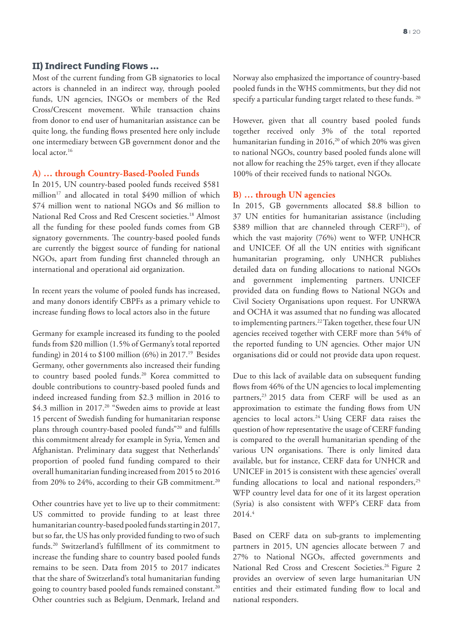### **II) Indirect Funding Flows ...**

Most of the current funding from GB signatories to local actors is channeled in an indirect way, through pooled funds, UN agencies, INGOs or members of the Red Cross/Crescent movement. While transaction chains from donor to end user of humanitarian assistance can be quite long, the funding flows presented here only include one intermediary between GB government donor and the local actor.<sup>16</sup>

#### **A) … through Country-Based-Pooled Funds**

In 2015, UN country-based pooled funds received \$581 million<sup>17</sup> and allocated in total \$490 million of which \$74 million went to national NGOs and \$6 million to National Red Cross and Red Crescent societies.18 Almost all the funding for these pooled funds comes from GB signatory governments. The country-based pooled funds are currently the biggest source of funding for national NGOs, apart from funding first channeled through an international and operational aid organization.

In recent years the volume of pooled funds has increased, and many donors identify CBPFs as a primary vehicle to increase funding flows to local actors also in the future

Germany for example increased its funding to the pooled funds from \$20 million (1.5% of Germany's total reported funding) in 2014 to  $$100$  million (6%) in 2017.<sup>19</sup> Besides Germany, other governments also increased their funding to country based pooled funds.20 Korea committed to double contributions to country-based pooled funds and indeed increased funding from \$2.3 million in 2016 to \$4.3 million in 2017.<sup>20</sup> "Sweden aims to provide at least 15 percent of Swedish funding for humanitarian response plans through country-based pooled funds"20 and fulfills this commitment already for example in Syria, Yemen and Afghanistan. Preliminary data suggest that Netherlands' proportion of pooled fund funding compared to their overall humanitarian funding increased from 2015 to 2016 from 20% to 24%, according to their GB commitment.<sup>20</sup>

Other countries have yet to live up to their commitment: US committed to provide funding to at least three humanitarian country-based pooled funds starting in 2017, but so far, the US has only provided funding to two of such funds.20 Switzerland's fulfillment of its commitment to increase the funding share to country based pooled funds remains to be seen. Data from 2015 to 2017 indicates that the share of Switzerland's total humanitarian funding going to country based pooled funds remained constant.<sup>20</sup> Other countries such as Belgium, Denmark, Ireland and Norway also emphasized the importance of country-based pooled funds in the WHS commitments, but they did not specify a particular funding target related to these funds. 20

However, given that all country based pooled funds together received only 3% of the total reported humanitarian funding in 2016,<sup>20</sup> of which 20% was given to national NGOs, country based pooled funds alone will not allow for reaching the 25% target, even if they allocate 100% of their received funds to national NGOs.

#### **B) … through UN agencies**

In 2015, GB governments allocated \$8.8 billion to 37 UN entities for humanitarian assistance (including \$389 million that are channeled through CERF<sup>21</sup>), of which the vast majority (76%) went to WFP, UNHCR and UNICEF. Of all the UN entities with significant humanitarian programing, only UNHCR publishes detailed data on funding allocations to national NGOs and government implementing partners. UNICEF provided data on funding flows to National NGOs and Civil Society Organisations upon request. For UNRWA and OCHA it was assumed that no funding was allocated to implementing partners.<sup>22</sup> Taken together, these four UN agencies received together with CERF more than 54% of the reported funding to UN agencies. Other major UN organisations did or could not provide data upon request.

Due to this lack of available data on subsequent funding flows from 46% of the UN agencies to local implementing partners,<sup>23</sup> 2015 data from CERF will be used as an approximation to estimate the funding flows from UN agencies to local actors.<sup>24</sup> Using CERF data raises the question of how representative the usage of CERF funding is compared to the overall humanitarian spending of the various UN organisations. There is only limited data available, but for instance, CERF data for UNHCR and UNICEF in 2015 is consistent with these agencies' overall funding allocations to local and national responders,<sup>25</sup> WFP country level data for one of it its largest operation (Syria) is also consistent with WFP's CERF data from 2014.4

Based on CERF data on sub-grants to implementing partners in 2015, UN agencies allocate between 7 and 27% to National NGOs, affected governments and National Red Cross and Crescent Societies.<sup>26</sup> Figure 2 provides an overview of seven large humanitarian UN entities and their estimated funding flow to local and national responders.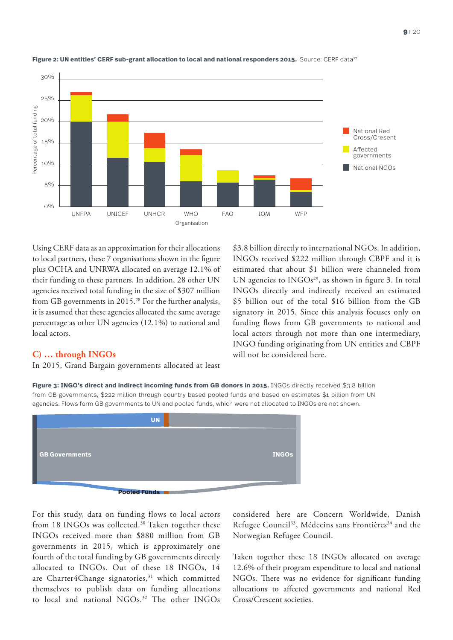

#### Figure 2: UN entities' CERF sub-grant allocation to local and national responders 2015. Source: CERF data<sup>27</sup>

Using CERF data as an approximation for their allocations to local partners, these 7 organisations shown in the figure plus OCHA and UNRWA allocated on average 12.1% of their funding to these partners. In addition, 28 other UN agencies received total funding in the size of \$307 million from GB governments in 2015.<sup>28</sup> For the further analysis, it is assumed that these agencies allocated the same average percentage as other UN agencies (12.1%) to national and local actors.

\$3.8 billion directly to international NGOs. In addition, INGOs received \$222 million through CBPF and it is estimated that about \$1 billion were channeled from UN agencies to  $INGOs<sup>29</sup>$ , as shown in figure 3. In total INGOs directly and indirectly received an estimated \$5 billion out of the total \$16 billion from the GB signatory in 2015. Since this analysis focuses only on funding flows from GB governments to national and local actors through not more than one intermediary, INGO funding originating from UN entities and CBPF will not be considered here.

## **C) … through INGOs**

In 2015, Grand Bargain governments allocated at least

**Figure 3: INGO's direct and indirect incoming funds from GB donors in 2015.** INGOs directly received \$3.8 billion from GB governments, \$222 million through country based pooled funds and based on estimates \$1 billion from UN agencies. Flows form GB governments to UN and pooled funds, which were not allocated to INGOs are not shown.



For this study, data on funding flows to local actors from 18 INGOs was collected.<sup>30</sup> Taken together these INGOs received more than \$880 million from GB governments in 2015, which is approximately one fourth of the total funding by GB governments directly allocated to INGOs. Out of these 18 INGOs, 14 are Charter4Change signatories,<sup>31</sup> which committed themselves to publish data on funding allocations to local and national NGOs.<sup>32</sup> The other INGOs

considered here are Concern Worldwide, Danish Refugee Council<sup>33</sup>, Médecins sans Frontières<sup>34</sup> and the Norwegian Refugee Council.

Taken together these 18 INGOs allocated on average 12.6% of their program expenditure to local and national NGOs. There was no evidence for significant funding allocations to affected governments and national Red Cross/Crescent societies.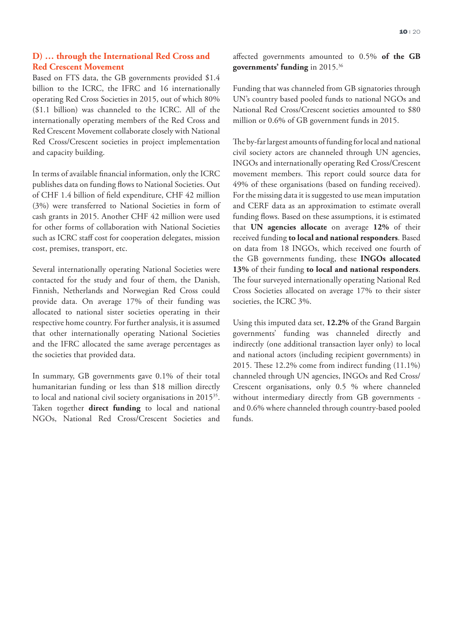## **D) … through the International Red Cross and Red Crescent Movement**

Based on FTS data, the GB governments provided \$1.4 billion to the ICRC, the IFRC and 16 internationally operating Red Cross Societies in 2015, out of which 80% (\$1.1 billion) was channeled to the ICRC. All of the internationally operating members of the Red Cross and Red Crescent Movement collaborate closely with National Red Cross/Crescent societies in project implementation and capacity building.

In terms of available financial information, only the ICRC publishes data on funding flows to National Societies. Out of CHF 1.4 billion of field expenditure, CHF 42 million (3%) were transferred to National Societies in form of cash grants in 2015. Another CHF 42 million were used for other forms of collaboration with National Societies such as ICRC staff cost for cooperation delegates, mission cost, premises, transport, etc.

Several internationally operating National Societies were contacted for the study and four of them, the Danish, Finnish, Netherlands and Norwegian Red Cross could provide data. On average 17% of their funding was allocated to national sister societies operating in their respective home country. For further analysis, it is assumed that other internationally operating National Societies and the IFRC allocated the same average percentages as the societies that provided data.

In summary, GB governments gave 0.1% of their total humanitarian funding or less than \$18 million directly to local and national civil society organisations in 2015<sup>35</sup>. Taken together **direct funding** to local and national NGOs, National Red Cross/Crescent Societies and affected governments amounted to 0.5% **of the GB governments' funding** in 2015.36

Funding that was channeled from GB signatories through UN's country based pooled funds to national NGOs and National Red Cross/Crescent societies amounted to \$80 million or 0.6% of GB government funds in 2015.

The by-far largest amounts of funding for local and national civil society actors are channeled through UN agencies, INGOs and internationally operating Red Cross/Crescent movement members. This report could source data for 49% of these organisations (based on funding received). For the missing data it is suggested to use mean imputation and CERF data as an approximation to estimate overall funding flows. Based on these assumptions, it is estimated that **UN agencies allocate** on average **12%** of their received funding **to local and national responders**. Based on data from 18 INGOs, which received one fourth of the GB governments funding, these **INGOs allocated 13%** of their funding **to local and national responders**. The four surveyed internationally operating National Red Cross Societies allocated on average 17% to their sister societies, the ICRC 3%.

Using this imputed data set, **12.2%** of the Grand Bargain governments' funding was channeled directly and indirectly (one additional transaction layer only) to local and national actors (including recipient governments) in 2015. These 12.2% come from indirect funding (11.1%) channeled through UN agencies, INGOs and Red Cross/ Crescent organisations, only 0.5 % where channeled without intermediary directly from GB governments and 0.6% where channeled through country-based pooled funds.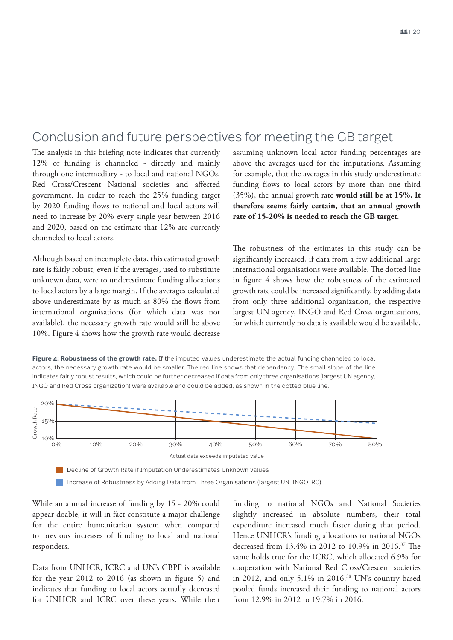# Conclusion and future perspectives for meeting the GB target

The analysis in this briefing note indicates that currently 12% of funding is channeled - directly and mainly through one intermediary - to local and national NGOs, Red Cross/Crescent National societies and affected government. In order to reach the 25% funding target by 2020 funding flows to national and local actors will need to increase by 20% every single year between 2016 and 2020, based on the estimate that 12% are currently channeled to local actors.

Although based on incomplete data, this estimated growth rate is fairly robust, even if the averages, used to substitute unknown data, were to underestimate funding allocations to local actors by a large margin. If the averages calculated above underestimate by as much as 80% the flows from international organisations (for which data was not available), the necessary growth rate would still be above 10%. Figure 4 shows how the growth rate would decrease

assuming unknown local actor funding percentages are above the averages used for the imputations. Assuming for example, that the averages in this study underestimate funding flows to local actors by more than one third (35%), the annual growth rate **would still be at 15%. It therefore seems fairly certain, that an annual growth rate of 15-20% is needed to reach the GB target**.

The robustness of the estimates in this study can be significantly increased, if data from a few additional large international organisations were available. The dotted line in figure 4 shows how the robustness of the estimated growth rate could be increased significantly, by adding data from only three additional organization, the respective largest UN agency, INGO and Red Cross organisations, for which currently no data is available would be available.

**Figure 4: Robustness of the growth rate.** If the imputed values underestimate the actual funding channeled to local actors, the necessary growth rate would be smaller. The red line shows that dependency. The small slope of the line indicates fairly robust results, which could be further decreased if data from only three organisations (largest UN agency, INGO and Red Cross organization) were available and could be added, as shown in the dotted blue line.



Increase of Robustness by Adding Data from Three Organisations (largest UN, INGO, RC)

While an annual increase of funding by 15 - 20% could appear doable, it will in fact constitute a major challenge for the entire humanitarian system when compared to previous increases of funding to local and national responders.

Data from UNHCR, ICRC and UN's CBPF is available for the year 2012 to 2016 (as shown in figure 5) and indicates that funding to local actors actually decreased for UNHCR and ICRC over these years. While their funding to national NGOs and National Societies slightly increased in absolute numbers, their total expenditure increased much faster during that period. Hence UNHCR's funding allocations to national NGOs decreased from 13.4% in 2012 to 10.9% in 2016.37 The same holds true for the ICRC, which allocated 6.9% for cooperation with National Red Cross/Crescent societies in 2012, and only 5.1% in 2016.38 UN's country based pooled funds increased their funding to national actors from 12.9% in 2012 to 19.7% in 2016.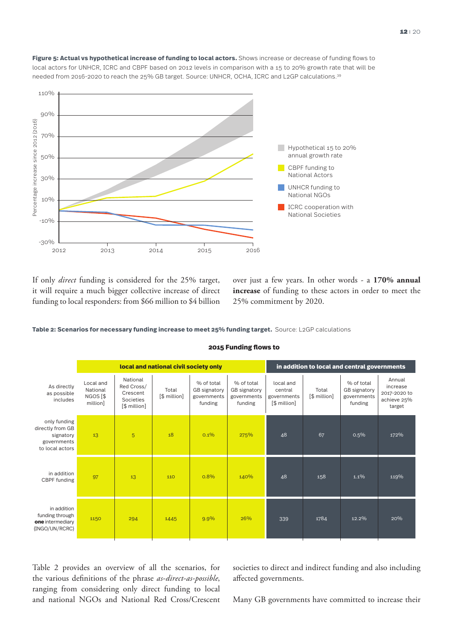

Figure 5: Actual vs hypothetical increase of funding to local actors. Shows increase or decrease of funding flows to local actors for UNHCR, ICRC and CBPF based on 2012 levels in comparison with a 15 to 20% growth rate that will be needed from 2016-2020 to reach the 25% GB target. Source: UNHCR, OCHA, ICRC and L2GP calculations.<sup>39</sup>

If only *direct* funding is considered for the 25% target, it will require a much bigger collective increase of direct funding to local responders: from \$66 million to \$4 billion

2012 2013 2014 2015 2016

Percentage increase since 2012 (2016)

Percentage increase since 2012 (2016)

110%

90%

70%

50%

30%

10%

-10%

-30%

over just a few years. In other words - a **170% annual increase** of funding to these actors in order to meet the 25% commitment by 2020.

annual growth rate **CBPF** funding to National Actors UNHCR funding to National NGOs

ICRC cooperation with

National Societies

**Table 2: Scenarios for necessary funding increase to meet 25% funding target.** Source: L2GP calculations

|                                                                                 | local and national civil society only                     |                                                                 |                       |                                                             | in addition to local and central governments         |                                                     |                       |                                                      |                                                             |
|---------------------------------------------------------------------------------|-----------------------------------------------------------|-----------------------------------------------------------------|-----------------------|-------------------------------------------------------------|------------------------------------------------------|-----------------------------------------------------|-----------------------|------------------------------------------------------|-------------------------------------------------------------|
| As directly<br>as possible<br>includes                                          | Local and<br>National<br>NGOS <sup>[\$]</sup><br>million] | National<br>Red Cross/<br>Crescent<br>Societies<br>[\$ million] | Total<br>[\$ million] | % of total<br><b>GB</b> signatory<br>governments<br>funding | % of total<br>GB signatory<br>governments<br>funding | local and<br>central<br>governments<br>[\$ million] | Total<br>[\$ million] | % of total<br>GB signatory<br>governments<br>funding | Annual<br>increase<br>2017-2020 to<br>achieve 25%<br>target |
| only funding<br>directly from GB<br>signatory<br>governments<br>to local actors | 13                                                        | 5                                                               | 18                    | 0.1%                                                        | 275%                                                 | 48                                                  | 67                    | 0.5%                                                 | 172%                                                        |
| in addition<br>CBPF funding                                                     | 97                                                        | 13                                                              | 110                   | 0.8%                                                        | 140%                                                 | 48                                                  | 158                   | 1.1%                                                 | 119%                                                        |
| in addition<br>funding through<br>one intermediary<br>(INGO/UN/RCRC)            | 1150                                                      | 294                                                             | 1445                  | 9.9%                                                        | 26%                                                  | 339                                                 | 1784                  | 12.2%                                                | 20%                                                         |

#### **2015 Funding flows to**

Table 2 provides an overview of all the scenarios, for the various definitions of the phrase *as-direct-as-possible*, ranging from considering only direct funding to local and national NGOs and National Red Cross/Crescent societies to direct and indirect funding and also including affected governments.

Many GB governments have committed to increase their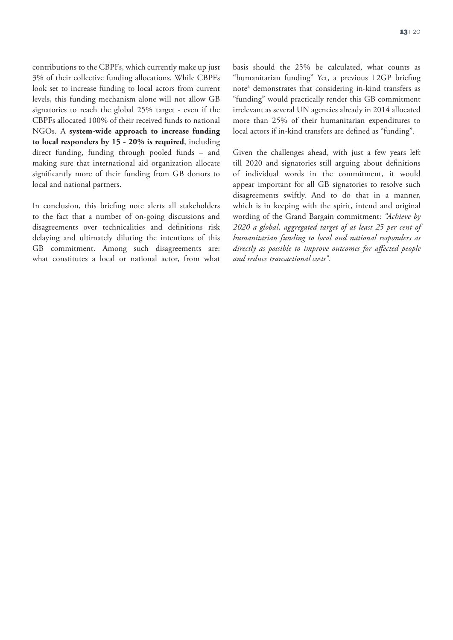contributions to the CBPFs, which currently make up just 3% of their collective funding allocations. While CBPFs look set to increase funding to local actors from current levels, this funding mechanism alone will not allow GB signatories to reach the global 25% target - even if the CBPFs allocated 100% of their received funds to national NGOs. A **system-wide approach to increase funding to local responders by 15 - 20% is required**, including direct funding, funding through pooled funds – and making sure that international aid organization allocate significantly more of their funding from GB donors to local and national partners.

In conclusion, this briefing note alerts all stakeholders to the fact that a number of on-going discussions and disagreements over technicalities and definitions risk delaying and ultimately diluting the intentions of this GB commitment. Among such disagreements are: what constitutes a local or national actor, from what basis should the 25% be calculated, what counts as "humanitarian funding" Yet, a previous L2GP briefing note<sup>4</sup> demonstrates that considering in-kind transfers as "funding" would practically render this GB commitment irrelevant as several UN agencies already in 2014 allocated more than 25% of their humanitarian expenditures to local actors if in-kind transfers are defined as "funding".

Given the challenges ahead, with just a few years left till 2020 and signatories still arguing about definitions of individual words in the commitment, it would appear important for all GB signatories to resolve such disagreements swiftly. And to do that in a manner, which is in keeping with the spirit, intend and original wording of the Grand Bargain commitment: *"Achieve by 2020 a global, aggregated target of at least 25 per cent of humanitarian funding to local and national responders as directly as possible to improve outcomes for affected people and reduce transactional costs".*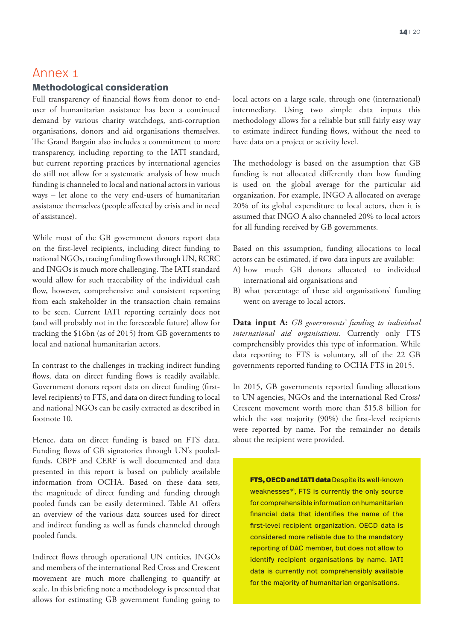## Annex 1

## **Methodological consideration**

Full transparency of financial flows from donor to enduser of humanitarian assistance has been a continued demand by various charity watchdogs, anti-corruption organisations, donors and aid organisations themselves. The Grand Bargain also includes a commitment to more transparency, including reporting to the IATI standard, but current reporting practices by international agencies do still not allow for a systematic analysis of how much funding is channeled to local and national actors in various ways – let alone to the very end-users of humanitarian assistance themselves (people affected by crisis and in need of assistance).

While most of the GB government donors report data on the first-level recipients, including direct funding to national NGOs, tracing funding flows through UN, RCRC and INGOs is much more challenging. The IATI standard would allow for such traceability of the individual cash flow, however, comprehensive and consistent reporting from each stakeholder in the transaction chain remains to be seen. Current IATI reporting certainly does not (and will probably not in the foreseeable future) allow for tracking the \$16bn (as of 2015) from GB governments to local and national humanitarian actors.

In contrast to the challenges in tracking indirect funding flows, data on direct funding flows is readily available. Government donors report data on direct funding (firstlevel recipients) to FTS, and data on direct funding to local and national NGOs can be easily extracted as described in footnote 10.

Hence, data on direct funding is based on FTS data. Funding flows of GB signatories through UN's pooledfunds, CBPF and CERF is well documented and data presented in this report is based on publicly available information from OCHA. Based on these data sets, the magnitude of direct funding and funding through pooled funds can be easily determined. Table A1 offers an overview of the various data sources used for direct and indirect funding as well as funds channeled through pooled funds.

Indirect flows through operational UN entities, INGOs and members of the international Red Cross and Crescent movement are much more challenging to quantify at scale. In this briefing note a methodology is presented that allows for estimating GB government funding going to

local actors on a large scale, through one (international) intermediary. Using two simple data inputs this methodology allows for a reliable but still fairly easy way to estimate indirect funding flows, without the need to have data on a project or activity level.

The methodology is based on the assumption that GB funding is not allocated differently than how funding is used on the global average for the particular aid organization. For example, INGO A allocated on average 20% of its global expenditure to local actors, then it is assumed that INGO A also channeled 20% to local actors for all funding received by GB governments.

Based on this assumption, funding allocations to local actors can be estimated, if two data inputs are available:

- A) how much GB donors allocated to individual international aid organisations and
- B) what percentage of these aid organisations' funding went on average to local actors.

**Data input A:** *GB governments' funding to individual international aid organisations.* Currently only FTS comprehensibly provides this type of information. While data reporting to FTS is voluntary, all of the 22 GB governments reported funding to OCHA FTS in 2015.

In 2015, GB governments reported funding allocations to UN agencies, NGOs and the international Red Cross/ Crescent movement worth more than \$15.8 billion for which the vast majority (90%) the first-level recipients were reported by name. For the remainder no details about the recipient were provided.

FTS, OECD and IATI data Despite its well-known weaknesses<sup>40</sup>, FTS is currently the only source for comprehensible information on humanitarian financial data that identifies the name of the first-level recipient organization. OECD data is considered more reliable due to the mandatory reporting of DAC member, but does not allow to identify recipient organisations by name. IATI data is currently not comprehensibly available for the majority of humanitarian organisations.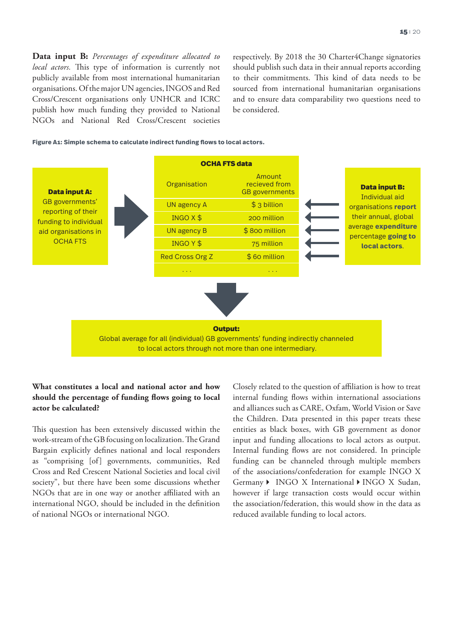**Data input B:** *Percentages of expenditure allocated to local actors.* This type of information is currently not publicly available from most international humanitarian organisations. Of the major UN agencies, INGOS and Red Cross/Crescent organisations only UNHCR and ICRC publish how much funding they provided to National NGOs and National Red Cross/Crescent societies respectively. By 2018 the 30 Charter4Change signatories should publish such data in their annual reports according to their commitments. This kind of data needs to be sourced from international humanitarian organisations and to ensure data comparability two questions need to be considered.

#### **Figure A1: Simple schema to calculate indirect funding flows to local actors.**



## **What constitutes a local and national actor and how should the percentage of funding flows going to local actor be calculated?**

This question has been extensively discussed within the work-stream of the GB focusing on localization. The Grand Bargain explicitly defines national and local responders as "comprising [of] governments, communities, Red Cross and Red Crescent National Societies and local civil society", but there have been some discussions whether NGOs that are in one way or another affiliated with an international NGO, should be included in the definition of national NGOs or international NGO.

Closely related to the question of affiliation is how to treat internal funding flows within international associations and alliances such as CARE, Oxfam, World Vision or Save the Children. Data presented in this paper treats these entities as black boxes, with GB government as donor input and funding allocations to local actors as output. Internal funding flows are not considered. In principle funding can be channeled through multiple members of the associations/confederation for example INGO X Germany  $\blacktriangleright$  INGO X International  $\blacktriangleright$  INGO X Sudan, however if large transaction costs would occur within the association/federation, this would show in the data as reduced available funding to local actors.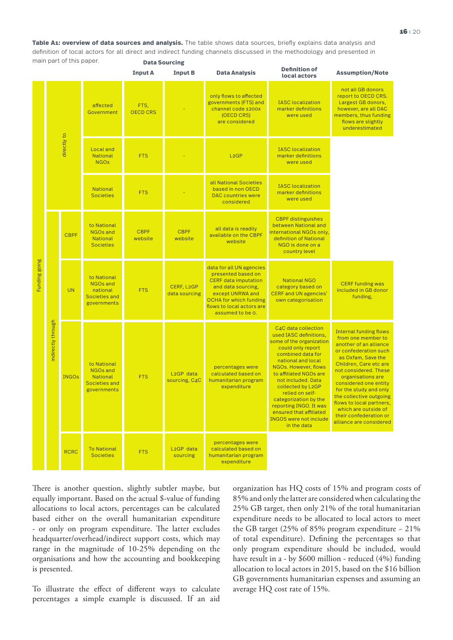**Table A1: overview of data sources and analysis.** The table shows data sources, briefly explains data analysis and definition of local actors for all direct and indirect funding channels discussed in the methodology and presented in main part of this paper. **Data Sourcing**

|               |                    |              |                                                                            | <b>Input A</b>          | <b>Input B</b>                          | <b>Data Analysis</b>                                                                                                                                                                                      | <b>Definition of</b><br>local actors                                                                                                                                                                                                                                                                                                                                                    | <b>Assumption/Note</b>                                                                                                                                                                                                                                                                                                                                                                      |
|---------------|--------------------|--------------|----------------------------------------------------------------------------|-------------------------|-----------------------------------------|-----------------------------------------------------------------------------------------------------------------------------------------------------------------------------------------------------------|-----------------------------------------------------------------------------------------------------------------------------------------------------------------------------------------------------------------------------------------------------------------------------------------------------------------------------------------------------------------------------------------|---------------------------------------------------------------------------------------------------------------------------------------------------------------------------------------------------------------------------------------------------------------------------------------------------------------------------------------------------------------------------------------------|
| Funding going | directly to        |              | affected<br>Government                                                     | FTS.<br><b>OECD CRS</b> |                                         | only flows to affected<br>governments (FTS) and<br>channel code 1200x<br>(OECD CRS)<br>are considered                                                                                                     | <b>IASC</b> localization<br>marker definitions<br>were used                                                                                                                                                                                                                                                                                                                             | not all GB donors<br>report to OECD CRS.<br>Largest GB donors,<br>however, are all DAC<br>members, thus funding<br>flows are slightly<br>underestimated                                                                                                                                                                                                                                     |
|               |                    |              | <b>Local</b> and<br><b>National</b><br><b>NGOs</b>                         | <b>FTS</b>              |                                         | L <sub>2</sub> GP                                                                                                                                                                                         | <b>IASC</b> localization<br>marker definitions<br>were used                                                                                                                                                                                                                                                                                                                             |                                                                                                                                                                                                                                                                                                                                                                                             |
|               |                    |              | <b>National</b><br><b>Societies</b>                                        | <b>FTS</b>              |                                         | all National Societies<br>based in non OECD<br><b>DAC</b> countries were<br>considered                                                                                                                    | <b>IASC</b> localization<br>marker definitions<br>were used                                                                                                                                                                                                                                                                                                                             |                                                                                                                                                                                                                                                                                                                                                                                             |
|               |                    | <b>CBPF</b>  | to National<br><b>NGOs and</b><br>National<br><b>Societies</b>             | <b>CBPF</b><br>website  | <b>CBPF</b><br>website                  | all data is readily<br>available on the CBPF<br>website                                                                                                                                                   | <b>CBPF</b> distinguishes<br>between National and<br>international NGOs only,<br>definition of National<br>NGO is done on a<br>country level                                                                                                                                                                                                                                            |                                                                                                                                                                                                                                                                                                                                                                                             |
|               | indirectly through | <b>UN</b>    | to National<br><b>NGOs and</b><br>national<br>Societies and<br>governments | <b>FTS</b>              | CERF, L2GP<br>data sourcing             | data for all UN agencies<br>presented based on<br><b>CERF</b> data imputation<br>and data sourcing,<br>except UNRWA and<br><b>OCHA for which funding</b><br>flows to local actors are<br>assumed to be 0. | <b>National NGO</b><br>category based on<br><b>CERF and UN agencies'</b><br>own categorisation                                                                                                                                                                                                                                                                                          | <b>CERF funding was</b><br>included in GB donor<br>funding,                                                                                                                                                                                                                                                                                                                                 |
|               |                    | <b>INGOs</b> | to National<br>NGOs and<br>National<br>Societies and<br>governments        | <b>FTS</b>              | L <sub>2</sub> GP data<br>sourcing, C4C | percentages were<br>calculated based on<br>humanitarian program<br>expenditure                                                                                                                            | C4C data collection<br>used IASC definitions.<br>some of the organization<br>could only report<br>combined data for<br>national and local<br>NGOs. However, flows<br>to affiliated NGOs are<br>not included. Data<br>collected by L2GP<br>relied on self-<br>categorization by the<br>reporting INGO. It was<br>ensured that affiliated<br><b>INGOS</b> were not include<br>in the data | <b>Internal funding flows</b><br>from one member to<br>another of an alliance<br>or confederation such<br>as Oxfam, Save the<br>Children, Care etc are<br>not considered. These<br>organisations are<br>considered one entity<br>for the study and only<br>the collective outgoing<br>flows to local partners,<br>which are outside of<br>their confederation or<br>alliance are considered |
|               |                    | <b>RCRC</b>  | <b>To National</b><br><b>Societies</b>                                     | <b>FTS</b>              | L <sub>2</sub> GP data<br>sourcing      | percentages were<br>calculated based on<br>humanitarian program<br>expenditure                                                                                                                            |                                                                                                                                                                                                                                                                                                                                                                                         |                                                                                                                                                                                                                                                                                                                                                                                             |

There is another question, slightly subtler maybe, but equally important. Based on the actual \$-value of funding allocations to local actors, percentages can be calculated based either on the overall humanitarian expenditure - or only on program expenditure. The latter excludes headquarter/overhead/indirect support costs, which may range in the magnitude of 10-25% depending on the organisations and how the accounting and bookkeeping is presented.

To illustrate the effect of different ways to calculate percentages a simple example is discussed. If an aid

organization has HQ costs of 15% and program costs of 85% and only the latter are considered when calculating the 25% GB target, then only 21% of the total humanitarian expenditure needs to be allocated to local actors to meet the GB target (25% of 85% program expenditure  $\sim 21\%$ ) of total expenditure). Defining the percentages so that only program expenditure should be included, would have result in a - by \$600 million - reduced (4%) funding allocation to local actors in 2015, based on the \$16 billion GB governments humanitarian expenses and assuming an average HQ cost rate of 15%.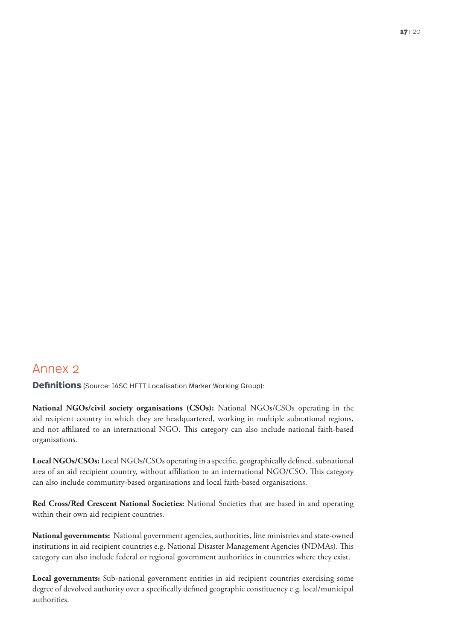**Definitions** (Source: IASC HFTT Localisation Marker Working Group):

**National NGOs/civil society organisations (CSOs):** National NGOs/CSOs operating in the aid recipient country in which they are headquartered, working in multiple subnational regions, and not affiliated to an international NGO. This category can also include national faith-based organisations.

**Local NGOs/CSOs:** Local NGOs/CSOs operating in a specific, geographically defined, subnational area of an aid recipient country, without affiliation to an international NGO/CSO. This category can also include community-based organisations and local faith-based organisations.

**Red Cross/Red Crescent National Societies:** National Societies that are based in and operating within their own aid recipient countries.

**National governments:** National government agencies, authorities, line ministries and state-owned institutions in aid recipient countries e.g. National Disaster Management Agencies (NDMAs). This category can also include federal or regional government authorities in countries where they exist.

**Local governments:** Sub-national government entities in aid recipient countries exercising some degree of devolved authority over a specifically defined geographic constituency e.g. local/municipal authorities.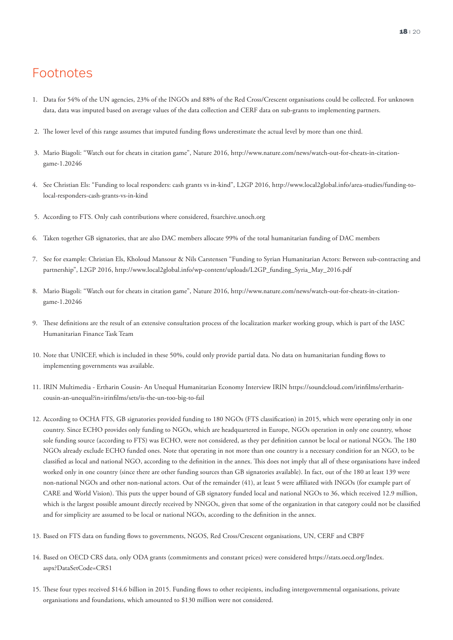# Footnotes

- 1. Data for 54% of the UN agencies, 23% of the INGOs and 88% of the Red Cross/Crescent organisations could be collected. For unknown data, data was imputed based on average values of the data collection and CERF data on sub-grants to implementing partners.
- 2. The lower level of this range assumes that imputed funding flows underestimate the actual level by more than one third.
- 3. Mario Biagoli: "Watch out for cheats in citation game", Nature 2016, http://www.nature.com/news/watch-out-for-cheats-in-citationgame-1.20246
- 4. See Christian Els: "Funding to local responders: cash grants vs in-kind", L2GP 2016, http://www.local2global.info/area-studies/funding-tolocal-responders-cash-grants-vs-in-kind
- 5. According to FTS. Only cash contributions where considered, ftsarchive.unoch.org
- 6. Taken together GB signatories, that are also DAC members allocate 99% of the total humanitarian funding of DAC members
- 7. See for example: Christian Els, Kholoud Mansour & Nils Carstensen "Funding to Syrian Humanitarian Actors: Between sub-contracting and partnership", L2GP 2016, http://www.local2global.info/wp-content/uploads/L2GP\_funding\_Syria\_May\_2016.pdf
- 8. Mario Biagoli: "Watch out for cheats in citation game", Nature 2016, http://www.nature.com/news/watch-out-for-cheats-in-citationgame-1.20246
- 9. These definitions are the result of an extensive consultation process of the localization marker working group, which is part of the IASC Humanitarian Finance Task Team
- 10. Note that UNICEF, which is included in these 50%, could only provide partial data. No data on humanitarian funding flows to implementing governments was available.
- 11. IRIN Multimedia Ertharin Cousin- An Unequal Humanitarian Economy Interview IRIN https://soundcloud.com/irinfilms/ertharincousin-an-unequal?in=irinfilms/sets/is-the-un-too-big-to-fail
- 12. According to OCHA FTS, GB signatories provided funding to 180 NGOs (FTS classification) in 2015, which were operating only in one country. Since ECHO provides only funding to NGOs, which are headquartered in Europe, NGOs operation in only one country, whose sole funding source (according to FTS) was ECHO, were not considered, as they per definition cannot be local or national NGOs. The 180 NGOs already exclude ECHO funded ones. Note that operating in not more than one country is a necessary condition for an NGO, to be classified as local and national NGO, according to the definition in the annex. This does not imply that all of these organisations have indeed worked only in one country (since there are other funding sources than GB signatories available). In fact, out of the 180 at least 139 were non-national NGOs and other non-national actors. Out of the remainder (41), at least 5 were affiliated with INGOs (for example part of CARE and World Vision). This puts the upper bound of GB signatory funded local and national NGOs to 36, which received 12.9 million, which is the largest possible amount directly received by NNGOs, given that some of the organization in that category could not be classified and for simplicity are assumed to be local or national NGOs, according to the definition in the annex.
- 13. Based on FTS data on funding flows to governments, NGOS, Red Cross/Crescent organisations, UN, CERF and CBPF
- 14. Based on OECD CRS data, only ODA grants (commitments and constant prices) were considered https://stats.oecd.org/Index. aspx?DataSetCode=CRS1
- 15. These four types received \$14.6 billion in 2015. Funding flows to other recipients, including intergovernmental organisations, private organisations and foundations, which amounted to \$130 million were not considered.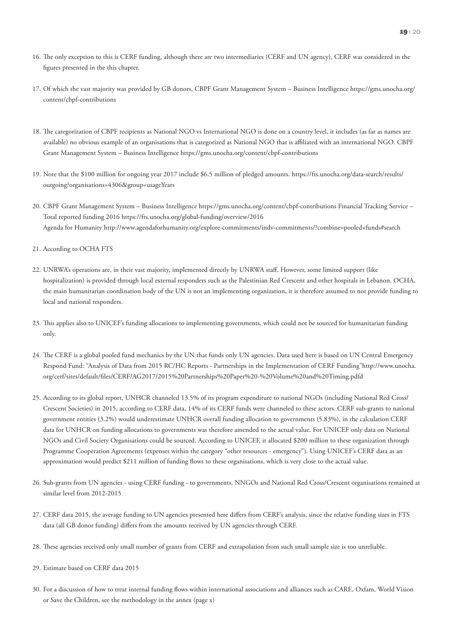- 16. The only exception to this is CERF funding, although there are two intermediaries (CERF and UN agency), CERF was considered in the figures presented in the this chapter.
- 17. Of which the vast majority was provided by GB donors, CBPF Grant Management System Business Intelligence https://gms.unocha.org/ content/cbpf-contributions
- 18. The categorization of CBPF recipients as National NGO vs International NGO is done on a country level, it includes (as far as names are available) no obvious example of an organisations that is categorized as National NGO that is affiliated with an international NGO. CBPF Grant Management System – Business Intelligence https://gms.unocha.org/content/cbpf-contributions
- 19. Note that the \$100 million for ongoing year 2017 include \$6.5 million of pledged amounts. https://fts.unocha.org/data-search/results/ outgoing?organisations=4306&group=usageYears
- 20. CBPF Grant Management System Business Intelligence https://gms.unocha.org/content/cbpf-contributions Financial Tracking Service Total reported funding 2016 https://fts.unocha.org/global-funding/overview/2016 Agenda for Humanity http://www.agendaforhumanity.org/explore-commitments/indv-commitments/?combine=pooled+funds#search
- 21. According to OCHA FTS
- 22. UNRWA's operations are, in their vast majority, implemented directly by UNRWA staff. However, some limited support (like hospitalization) is provided through local external responders such as the Palestinian Red Crescent and other hospitals in Lebanon. OCHA, the main humanitarian coordination body of the UN is not an implementing organization, it is therefore assumed to not provide funding to local and national responders.
- 23. This applies also to UNICEF's funding allocations to implementing governments, which could not be sourced for humanitarian funding only.
- 24. The CERF is a global pooled fund mechanics by the UN that funds only UN agencies. Data used here is based on UN Central Emergency Respond Fund: "Analysis of Data from 2015 RC/HC Reports - Partnerships in the Implementation of CERF Funding"http://www.unocha. org/cerf/sites/default/files/CERF/AG2017/2015%20Partnerships%20Paper%20-%20Volume%20and%20Timing.pdfd
- 25. According to its global report, UNHCR channeled 13.5% of its program expenditure to national NGOs (including National Red Cross/ Crescent Societies) in 2015, according to CERF data, 14% of its CERF funds were channeled to these actors. CERF sub-grants to national government entities (3.2%) would underestimate UNHCR overall funding allocation to governments (5.83%), in the calculation CERF data for UNHCR on funding allocations to governments was therefore amended to the actual value. For UNICEF only data on National NGOs and Civil Society Organisations could be sourced. According to UNICEF, it allocated \$200 million to these organization through Programme Cooperation Agreements (expenses within the category "other resources - emergency"). Using UNICEF's CERF data as an approximation would predict \$211 million of funding flows to these organisations, which is very close to the actual value.
- 26. Sub-grants from UN agencies using CERF funding to governments, NNGOs and National Red Cross/Crescent organisations remained at similar level from 2012-2015
- 27. CERF data 2015, the average funding to UN agencies presented here differs from CERF's analysis, since the relative funding sizes in FTS data (all GB donor funding) differs from the amounts received by UN agencies through CERF.
- 28. These agencies received only small number of grants from CERF and extrapolation from such small sample size is too unreliable.
- 29. Estimate based on CERF data 2015
- 30. For a discussion of how to treat internal funding flows within international associations and alliances such as CARE, Oxfam, World Vision or Save the Children, see the methodology in the annex (page x)